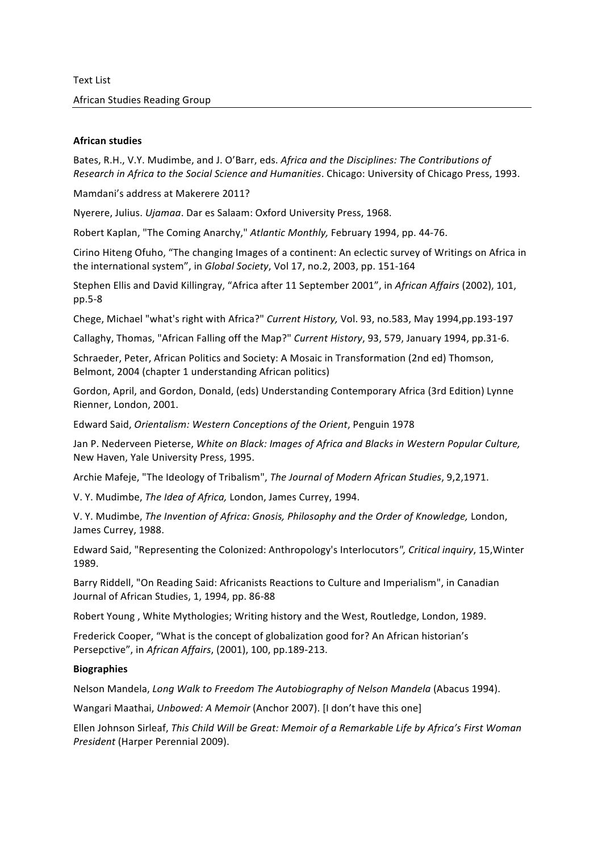## **African studies**

Bates, R.H., V.Y. Mudimbe, and J. O'Barr, eds. Africa and the Disciplines: The Contributions of *Research in Africa to the Social Science and <i>Humanities*. Chicago: University of Chicago Press, 1993.

Mamdani's address at Makerere 2011?

Nyerere, Julius. *Ujamaa*. Dar es Salaam: Oxford University Press, 1968.

Robert Kaplan, "The Coming Anarchy," Atlantic Monthly, February 1994, pp. 44-76.

Cirino Hiteng Ofuho, "The changing Images of a continent: An eclectic survey of Writings on Africa in the international system", in *Global Society*, Vol 17, no.2, 2003, pp. 151-164

Stephen Ellis and David Killingray, "Africa after 11 September 2001", in African Affairs (2002), 101, pp.5-8

Chege, Michael "what's right with Africa?" *Current History*, Vol. 93, no.583, May 1994,pp.193-197

Callaghy, Thomas, "African Falling off the Map?" *Current History*, 93, 579, January 1994, pp.31-6.

Schraeder, Peter, African Politics and Society: A Mosaic in Transformation (2nd ed) Thomson, Belmont, 2004 (chapter 1 understanding African politics)

Gordon, April, and Gordon, Donald, (eds) Understanding Contemporary Africa (3rd Edition) Lynne Rienner, London, 2001.

Edward%Said,%*Orientalism:'Western'Conceptions'of'the'Orient*,%Penguin%1978

Jan%P.%Nederveen%Pieterse,%*White'on'Black:'Images'of'Africa'and'Blacks'in'Western'Popular Culture,'* New Haven, Yale University Press, 1995.

Archie Mafeje, "The Ideology of Tribalism", The Journal of Modern African Studies, 9,2,1971.

V. Y. Mudimbe, *The Idea of Africa*, London, James Currey, 1994.

V.%Y.%Mudimbe,%*The'Invention'of'Africa:'Gnosis,'Philosophy'and'the'Order'of'Knowledge,* London,% James Currey, 1988.

Edward Said, "Representing the Colonized: Anthropology's Interlocutors", Critical inquiry, 15, Winter 1989.

Barry Riddell, "On Reading Said: Africanists Reactions to Culture and Imperialism", in Canadian Journal of African Studies, 1, 1994, pp. 86-88

Robert Young, White Mythologies; Writing history and the West, Routledge, London, 1989.

Frederick Cooper, "What is the concept of globalization good for? An African historian's Persepctive", in *African Affairs*, (2001), 100, pp.189-213.

### **Biographies**

Nelson%Mandela,%*Long'Walk'to'Freedom'The'Autobiography'of'Nelson'Mandela* (Abacus%1994).

Wangari Maathai, *Unbowed: A Memoir* (Anchor 2007). [I don't have this one]

Ellen%Johnson%Sirleaf,%*This'Child'Will'be'Great:'Memoir'of'a'Remarkable'Life'by'Africa's'First'Woman' President* (Harper Perennial 2009).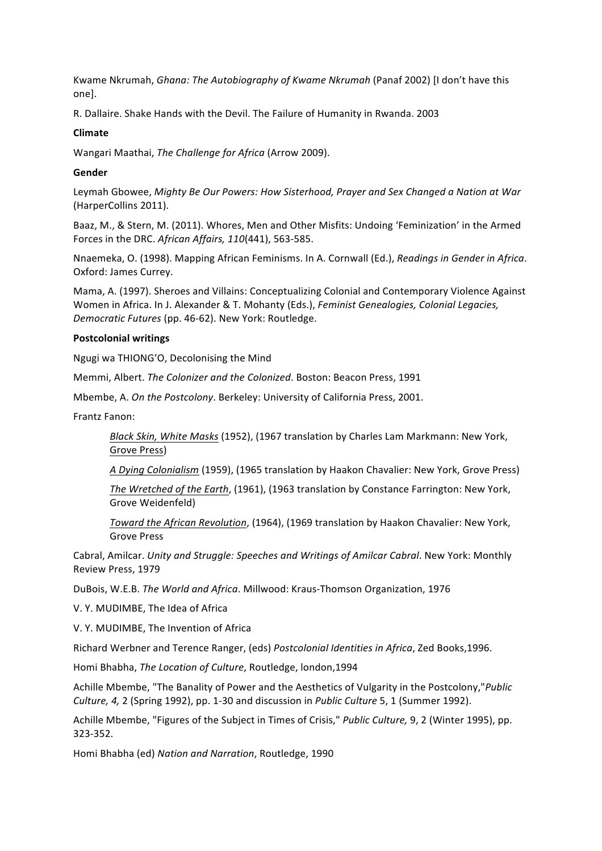Kwame Nkrumah, *Ghana: The Autobiography of Kwame Nkrumah* (Panaf 2002) [I don't have this one].

R. Dallaire. Shake Hands with the Devil. The Failure of Humanity in Rwanda. 2003

# **Climate**

Wangari Maathai, *The Challenge for Africa* (Arrow 2009).

# **Gender**

Leymah Gbowee, Mighty Be Our Powers: How Sisterhood, Prayer and Sex Changed a Nation at War (HarperCollins 2011).

Baaz, M., & Stern, M. (2011). Whores, Men and Other Misfits: Undoing 'Feminization' in the Armed Forces in the DRC. African Affairs, 110(441), 563-585.

Nnaemeka,%O.%(1998).%Mapping%African%Feminisms.%In%A.%Cornwall%(Ed.),%*Readings'in'Gender'in'Africa*.% Oxford: James Currey.

Mama, A. (1997). Sheroes and Villains: Conceptualizing Colonial and Contemporary Violence Against Women in Africa. In J. Alexander & T. Mohanty (Eds.), *Feminist Genealogies, Colonial Legacies, Democratic Futures* (pp. 46-62). New York: Routledge.

## **Postcolonial writings**

Ngugi wa THIONG'O, Decolonising the Mind

Memmi, Albert. *The Colonizer and the Colonized*. Boston: Beacon Press, 1991

Mbembe, A. On the Postcolony. Berkeley: University of California Press, 2001.

Frantz Fanon:

*Black Skin, White Masks* (1952), (1967 translation by Charles Lam Markmann: New York, Grove Press)

*A'Dying Colonialism* (1959), (1965 translation by Haakon Chavalier: New York, Grove Press)

*The Wretched of the Earth*, (1961), (1963 translation by Constance Farrington: New York, Grove Weidenfeld)

*Toward the African Revolution*, (1964), (1969 translation by Haakon Chavalier: New York, **Grove Press** 

Cabral,%Amilcar.%*Unity'and'Struggle:'Speeches'and'Writings'of'Amilcar Cabral*.%New%York:%Monthly% Review Press, 1979

DuBois, W.E.B. The World and Africa. Millwood: Kraus-Thomson Organization, 1976

V. Y. MUDIMBE, The Idea of Africa

V. Y. MUDIMBE, The Invention of Africa

Richard%Werbner%and%Terence%Ranger,%(eds)%*Postcolonial'Identities'in'Africa*,%Zed%Books,1996.%

Homi Bhabha, *The Location of Culture*, Routledge, london,1994

Achille Mbembe, "The Banality of Power and the Aesthetics of Vulgarity in the Postcolony,"*Public Culture, 4, 2 (Spring 1992), pp. 1-30 and discussion in <i>Public Culture* 5, 1 (Summer 1992).

Achille Mbembe, "Figures of the Subject in Times of Crisis," *Public Culture,* 9, 2 (Winter 1995), pp. 323-352.

Homi Bhabha (ed) Nation and Narration, Routledge, 1990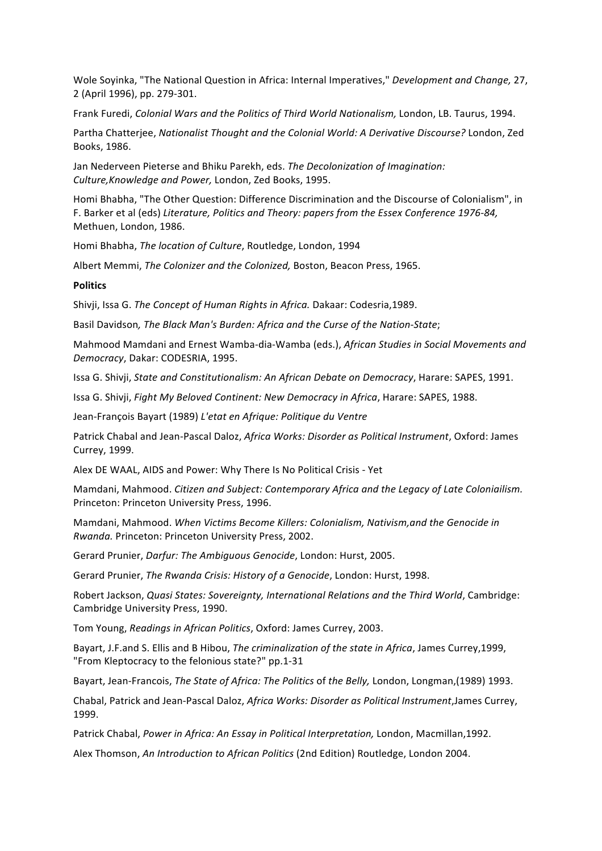Wole Soyinka, "The National Question in Africa: Internal Imperatives," *Development and Change, 27,* 2 (April 1996), pp. 279-301.

Frank%Furedi,%*Colonial'Wars'and'the'Politics'of'Third'World'Nationalism,'*London,%LB.%Taurus, 1994.

Partha Chatterjee, Nationalist Thought and the Colonial World: A Derivative Discourse? London, Zed Books, 1986.

Jan Nederveen Pieterse and Bhiku Parekh, eds. The Decolonization of Imagination: Culture, Knowledge and Power, London, Zed Books, 1995.

Homi Bhabha, "The Other Question: Difference Discrimination and the Discourse of Colonialism", in F. Barker et al (eds) Literature, Politics and Theory: papers from the *Essex Conference 1976-84*, Methuen, London, 1986.

Homi Bhabha, *The location of Culture*, Routledge, London, 1994

Albert Memmi, *The Colonizer and the Colonized*, Boston, Beacon Press, 1965.

## **Politics**

Shivii, Issa G. The Concept of Human Rights in Africa. Dakaar: Codesria,1989.

Basil Davidson, The Black Man's Burden: Africa and the Curse of the Nation-State;

Mahmood Mamdani and Ernest Wamba-dia-Wamba (eds.), African Studies in Social Movements and *Democracy*, Dakar: CODESRIA, 1995.

Issa G. Shivji, State and Constitutionalism: An African Debate on Democracy, Harare: SAPES, 1991.

Issa G. Shivji, *Fight My Beloved Continent: New Democracy in Africa*, Harare: SAPES, 1988.

Jean-François Bayart (1989) L'etat en Afrique: Politique du Ventre

Patrick Chabal and Jean-Pascal Daloz, Africa Works: Disorder as Political Instrument, Oxford: James Currey, 1999.

Alex DE WAAL, AIDS and Power: Why There Is No Political Crisis - Yet

Mamdani,%Mahmood.%*Citizen'and'Subject:'Contemporary'Africa'and'the Legacy'of'Late'Coloniailism.'* Princeton: Princeton University Press, 1996.

Mamdani,%Mahmood.%*When'Victims'Become'Killers:'Colonialism,'Nativism,and'the'Genocide'in' Rwanda.* Princeton: Princeton University Press, 2002.

Gerard Prunier, *Darfur: The Ambiguous Genocide*, London: Hurst, 2005.

Gerard Prunier, *The Rwanda Crisis: History of a Genocide*, London: Hurst, 1998.

Robert%Jackson,%*Quasi'States:'Sovereignty,'International'Relations'and'the'Third'World*,%Cambridge:% Cambridge University Press, 1990.

Tom Young, Readings in African Politics, Oxford: James Currey, 2003.

Bayart, J.F.and S. Ellis and B Hibou, *The criminalization of the state in Africa*, James Currey, 1999, "From Kleptocracy to the felonious state?" pp.1-31

Bayart, Jean-Francois, *The State of Africa: The Politics* of *the Belly, London, Longman,(1989) 1993.* 

Chabal, Patrick and Jean-Pascal Daloz, Africa Works: Disorder as Political Instrument,James Currey, 1999.

Patrick Chabal, Power in Africa: An Essay in Political Interpretation, London, Macmillan,1992.

Alex Thomson, *An Introduction to African Politics* (2nd Edition) Routledge, London 2004.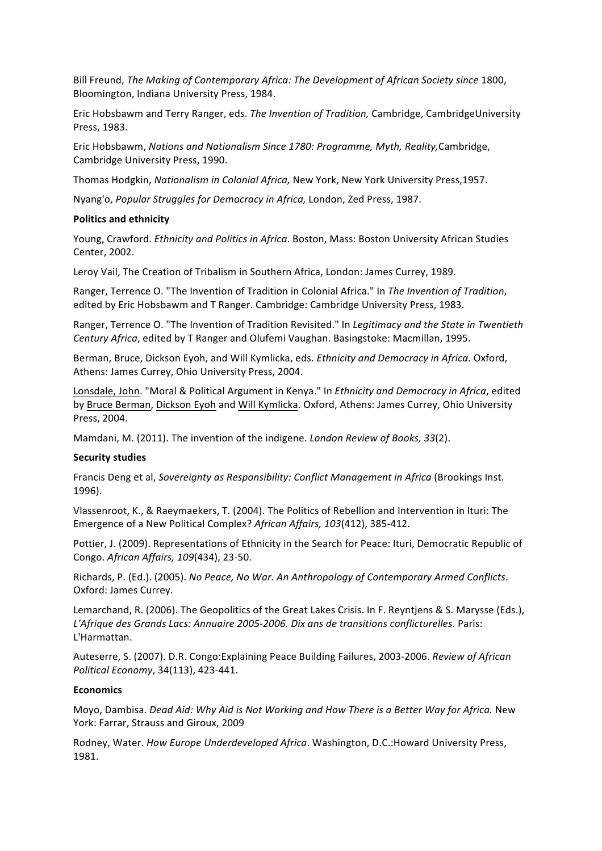Bill Freund, The Making of Contemporary Africa: The Development of African Society since 1800, Bloomington, Indiana University Press, 1984.

Eric Hobsbawm and Terry Ranger, eds. The Invention of Tradition, Cambridge, CambridgeUniversity Press, 1983.

Eric%Hobsbawm,%*Nations'and'Nationalism'Since'1780:'Programme,'Myth,'Reality,*Cambridge,% Cambridge University Press, 1990.

Thomas Hodgkin, Nationalism in Colonial Africa, New York, New York University Press,1957.

Nyang'o, Popular Struggles for Democracy in Africa, London, Zed Press, 1987.

#### **Politics and ethnicity**

Young, Crawford. *Ethnicity and Politics in Africa*. Boston, Mass: Boston University African Studies Center, 2002.

Leroy Vail, The Creation of Tribalism in Southern Africa, London: James Currey, 1989.

Ranger, Terrence O. "The Invention of Tradition in Colonial Africa." In The Invention of Tradition, edited by Eric Hobsbawm and T Ranger. Cambridge: Cambridge University Press, 1983.

Ranger, Terrence O. "The Invention of Tradition Revisited." In *Legitimacy and the State in Twentieth* Century Africa, edited by T Ranger and Olufemi Vaughan. Basingstoke: Macmillan, 1995.

Berman, Bruce, Dickson Eyoh, and Will Kymlicka, eds. *Ethnicity and Democracy in Africa*. Oxford, Athens: James Currey, Ohio University Press, 2004.

Lonsdale, John. "Moral & Political Argument in Kenya." In *Ethnicity and Democracy in Africa*, edited by Bruce Berman, Dickson Eyoh and Will Kymlicka. Oxford, Athens: James Currey, Ohio University Press, 2004.

Mamdani, M. (2011). The invention of the indigene. *London Review of Books, 33*(2).

## **Security studies**

Francis Deng et al, Sovereignty as Responsibility: Conflict Management in Africa (Brookings Inst. 1996).

Vlassenroot, K., & Raeymaekers, T. (2004). The Politics of Rebellion and Intervention in Ituri: The Emergence of a New Political Complex? African Affairs, 103(412), 385-412.

Pottier, J. (2009). Representations of Ethnicity in the Search for Peace: Ituri, Democratic Republic of Congo. African Affairs, 109(434), 23-50.

Richards,%P.%(Ed.).%(2005).%*No'Peace,'No'War.'An'Anthropology'of'Contemporary'Armed'Conflicts*.% Oxford: James Currey.

Lemarchand, R. (2006). The Geopolitics of the Great Lakes Crisis. In F. Reyntjens & S. Marysse (Eds.), L'Afrique des Grands Lacs: Annuaire 2005-2006. Dix ans de transitions conflicturelles. Paris: L'Harmattan.

Auteserre, S. (2007). D.R. Congo:Explaining Peace Building Failures, 2003-2006. Review of African *Political Economy, 34(113), 423-441.* 

## **Economics**

Moyo,%Dambisa.%*Dead'Aid:'Why'Aid'is'Not'Working'and'How'There'is'a Better'Way'for'Africa.'*New% York: Farrar, Strauss and Giroux, 2009

Rodney, Water. *How Europe Underdeveloped Africa*. Washington, D.C.:Howard University Press, 1981.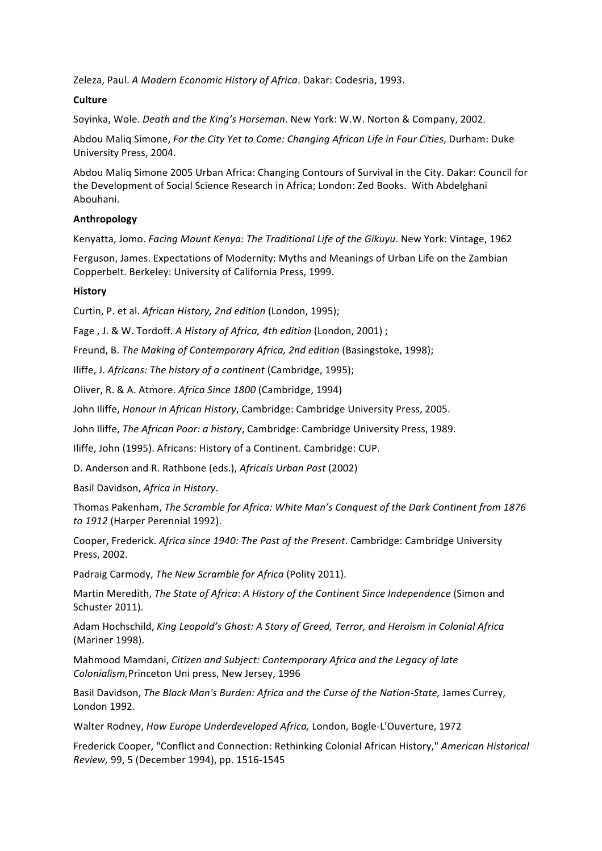Zeleza, Paul. A Modern Economic History of Africa. Dakar: Codesria, 1993.

# **Culture**

Soyinka, Wole. *Death and the King's Horseman*. New York: W.W. Norton & Company, 2002.

Abdou Malig Simone, *For the City Yet to Come: Changing African Life in Four Cities*, Durham: Duke University Press, 2004.

Abdou Malig Simone 2005 Urban Africa: Changing Contours of Survival in the City. Dakar: Council for the Development of Social Science Research in Africa; London: Zed Books. With Abdelghani Abouhani.

# **Anthropology**

Kenyatta, Jomo. *Facing Mount Kenya: The Traditional Life of the Gikuyu*. New York: Vintage, 1962

Ferguson, James. Expectations of Modernity: Myths and Meanings of Urban Life on the Zambian Copperbelt. Berkeley: University of California Press, 1999.

# **History**

Curtin, P. et al. African History, 2nd edition (London, 1995);

Fage, J. & W. Tordoff. A History of Africa, 4th edition (London, 2001);

Freund, B. The Making of Contemporary Africa, 2nd edition (Basingstoke, 1998);

Iliffe, J. Africans: The history of a continent (Cambridge, 1995);

Oliver,%R.%&%A.%Atmore.%*Africa'Since'1800* (Cambridge,%1994)

John Iliffe, *Honour in African History*, Cambridge: Cambridge University Press, 2005.

John Iliffe, The African Poor: a history, Cambridge: Cambridge University Press, 1989.

Iliffe, John (1995). Africans: History of a Continent. Cambridge: CUP.

D.%Anderson%and%R.%Rathbone%(eds.),%*Africaís'Urban'Past* (2002)

Basil%Davidson,%*Africa'in'History*.

Thomas%Pakenham,%*The'Scramble'for'Africa:'White'Man's'Conquest'of'the'Dark'Continent'from'1876'* to 1912 (Harper Perennial 1992).

Cooper, Frederick. Africa since 1940: The Past of the Present. Cambridge: Cambridge University Press, 2002.

Padraig Carmody, The New Scramble for Africa (Polity 2011).

Martin Meredith, *The State of Africa: A History of the Continent Since Independence* (Simon and Schuster 2011).

Adam%Hochschild,%*King'Leopold's'Ghost:'A'Story'of'Greed,'Terror,'and'Heroism'in'Colonial'Africa* (Mariner 1998).

Mahmood%Mamdani,%*Citizen'and'Subject:'Contemporary'Africa'and'the'Legacy'of'late Colonialism, Princeton Uni press, New Jersey, 1996* 

Basil Davidson, *The Black Man's Burden: Africa and the Curse of the Nation-State, James Currey,* London 1992.

Walter Rodney, *How Europe Underdeveloped Africa*, London, Bogle-L'Ouverture, 1972

Frederick%Cooper,%"Conflict%and%Connection:%Rethinking%Colonial%African%History,"%*American Historical' Review, 99, 5 (December 1994), pp. 1516-1545*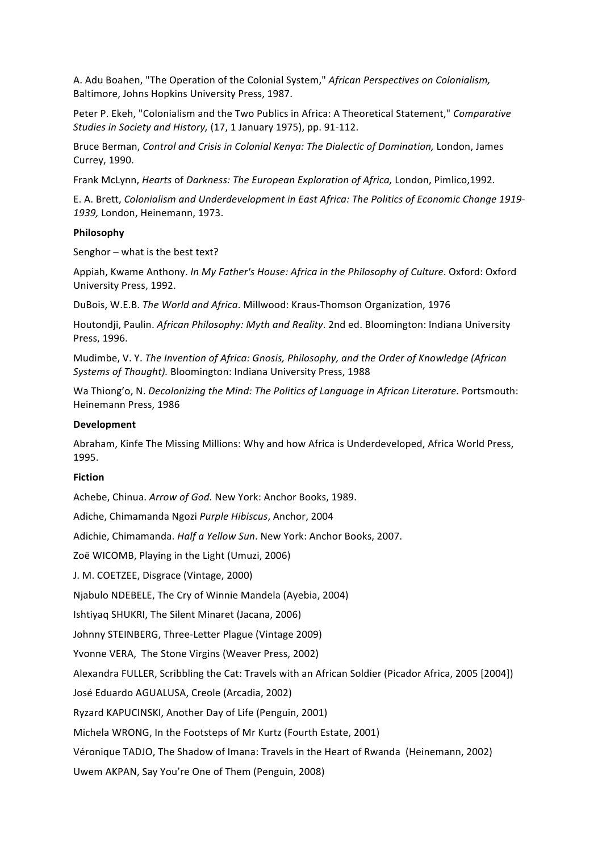A.%Adu%Boahen,%"The%Operation%of%the%Colonial%System,"%*African'Perspectives'on Colonialism,'* Baltimore, Johns Hopkins University Press, 1987.

Peter P. Ekeh, "Colonialism and the Two Publics in Africa: A Theoretical Statement," *Comparative Studies in Society and History,* (17, 1 January 1975), pp. 91-112.

Bruce%Berman,%*Control'and'Crisis'in'Colonial'Kenya:'The Dialectic'of'Domination,'*London,%James% Currey, 1990.

Frank McLynn, *Hearts* of *Darkness: The European Exploration of Africa*, London, Pimlico,1992.

E.%A.%Brett,%*Colonialism'and'Underdevelopment'in'East'Africa:'The'Politics'of'Economic Change'1919\* 1939, London, Heinemann, 1973.

### **Philosophy**

Senghor – what is the best text?

Appiah, Kwame Anthony. *In My Father's House: Africa in the Philosophy of Culture*. Oxford: Oxford University Press, 1992.

DuBois, W.E.B. *The World and Africa*. Millwood: Kraus-Thomson Organization, 1976

Houtondji, Paulin. African Philosophy: Myth and Reality. 2nd ed. Bloomington: Indiana University Press, 1996.

Mudimbe,%V.%Y.%*The'Invention'of'Africa:'Gnosis,'Philosophy,'and'the'Order of'Knowledge'(African'* Systems of Thought). Bloomington: Indiana University Press, 1988

Wa Thiong'o, N. *Decolonizing the Mind: The Politics of Language in African Literature*. Portsmouth: Heinemann Press, 1986

### **Development**

Abraham, Kinfe The Missing Millions: Why and how Africa is Underdeveloped, Africa World Press, 1995.

## **Fiction**

Achebe, Chinua. *Arrow of God.* New York: Anchor Books, 1989.

Adiche,%Chimamanda%Ngozi%*Purple'Hibiscus*,%Anchor,%2004

Adichie, Chimamanda. *Half a Yellow Sun*. New York: Anchor Books, 2007.

Zoë WICOMB, Playing in the Light (Umuzi, 2006)

J. M. COETZEE, Disgrace (Vintage, 2000)

Njabulo NDEBELE, The Cry of Winnie Mandela (Ayebia, 2004)

Ishtiyaq SHUKRI, The Silent Minaret (Jacana, 2006)

Johnny STEINBERG, Three-Letter Plague (Vintage 2009)

Yvonne VERA, The Stone Virgins (Weaver Press, 2002)

Alexandra FULLER, Scribbling the Cat: Travels with an African Soldier (Picador Africa, 2005 [2004])

José Eduardo AGUALUSA, Creole (Arcadia, 2002)

Ryzard KAPUCINSKI, Another Day of Life (Penguin, 2001)

Michela WRONG, In the Footsteps of Mr Kurtz (Fourth Estate, 2001)

Véronique TADJO, The Shadow of Imana: Travels in the Heart of Rwanda (Heinemann, 2002)

Uwem AKPAN, Say You're One of Them (Penguin, 2008)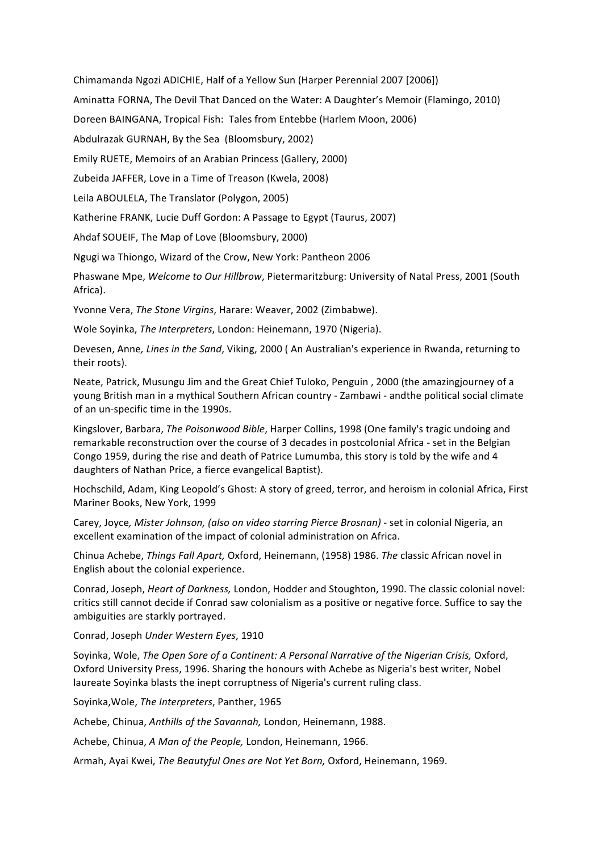Chimamanda Ngozi ADICHIE, Half of a Yellow Sun (Harper Perennial 2007 [2006]) Aminatta FORNA, The Devil That Danced on the Water: A Daughter's Memoir (Flamingo, 2010) Doreen BAINGANA, Tropical Fish: Tales from Entebbe (Harlem Moon, 2006) Abdulrazak GURNAH, By the Sea (Bloomsbury, 2002) Emily RUETE, Memoirs of an Arabian Princess (Gallery, 2000) Zubeida JAFFER, Love in a Time of Treason (Kwela, 2008) Leila ABOULELA, The Translator (Polygon, 2005)

Katherine FRANK, Lucie Duff Gordon: A Passage to Egypt (Taurus, 2007)

Ahdaf SOUEIF, The Map of Love (Bloomsbury, 2000)

Ngugi wa Thiongo, Wizard of the Crow, New York: Pantheon 2006

Phaswane Mpe, Welcome to Our Hillbrow, Pietermaritzburg: University of Natal Press, 2001 (South Africa).

Yvonne Vera, *The Stone Virgins*, Harare: Weaver, 2002 (Zimbabwe).

Wole Soyinka, *The Interpreters*, London: Heinemann, 1970 (Nigeria).

Devesen, Anne, Lines in the Sand, Viking, 2000 (An Australian's experience in Rwanda, returning to their roots).

Neate, Patrick, Musungu Jim and the Great Chief Tuloko, Penguin, 2000 (the amazingjourney of a young British man in a mythical Southern African country - Zambawi - andthe political social climate of an un-specific time in the 1990s.

Kingslover, Barbara, *The Poisonwood Bible*, Harper Collins, 1998 (One family's tragic undoing and remarkable reconstruction over the course of 3 decades in postcolonial Africa - set in the Belgian Congo 1959, during the rise and death of Patrice Lumumba, this story is told by the wife and 4 daughters of Nathan Price, a fierce evangelical Baptist).

Hochschild, Adam, King Leopold's Ghost: A story of greed, terror, and heroism in colonial Africa, First Mariner Books, New York, 1999

Carey, Joyce, Mister Johnson, (also on video starring Pierce Brosnan) - set in colonial Nigeria, an excellent examination of the impact of colonial administration on Africa.

Chinua%Achebe,%*Things'Fall'Apart,'*Oxford,%Heinemann,%(1958)%1986.%*The'*classic%African novel%in% English about the colonial experience.

Conrad, Joseph, *Heart of Darkness, London, Hodder and Stoughton, 1990. The classic colonial novel:* critics still cannot decide if Conrad saw colonialism as a positive or negative force. Suffice to say the ambiguities are starkly portrayed.

Conrad,%Joseph%*Under'Western'Eyes*,%1910

Soyinka, Wole, *The Open Sore of a Continent: A Personal Narrative of the Nigerian Crisis, Oxford,* Oxford University Press, 1996. Sharing the honours with Achebe as Nigeria's best writer, Nobel laureate Soyinka blasts the inept corruptness of Nigeria's current ruling class.

Soyinka, Wole, The Interpreters, Panther, 1965

Achebe, Chinua, Anthills of the Savannah, London, Heinemann, 1988.

Achebe, Chinua, *A Man of the People*, London, Heinemann, 1966.

Armah, Ayai Kwei, *The Beautyful Ones are Not Yet Born, Oxford*, Heinemann, 1969.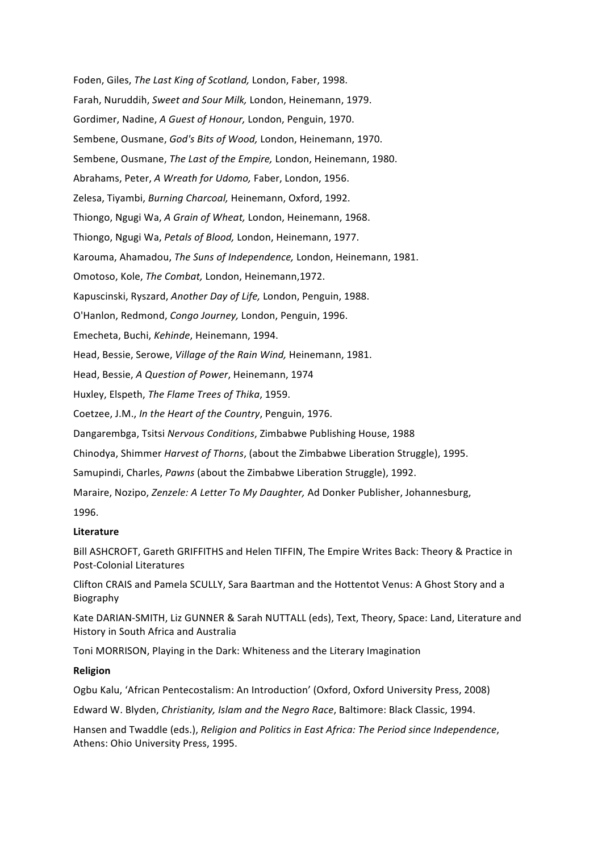Foden, Giles, *The Last King of Scotland*, London, Faber, 1998. Farah, Nuruddih, Sweet and Sour Milk, London, Heinemann, 1979. Gordimer,%Nadine,%*A'Guest'of'Honour,'*London,%Penguin,%1970. Sembene, Ousmane, God's Bits of Wood, London, Heinemann, 1970. Sembene, Ousmane, *The Last of the Empire*, London, Heinemann, 1980. Abrahams, Peter, *A Wreath for Udomo*, Faber, London, 1956. Zelesa,%Tiyambi,%*Burning'Charcoal,'*Heinemann,%Oxford,%1992. Thiongo,%Ngugi%Wa,%*A'Grain'of'Wheat,'*London,%Heinemann,%1968. Thiongo, Ngugi Wa, Petals of Blood, London, Heinemann, 1977. Karouma, Ahamadou, *The Suns of Independence,* London, Heinemann, 1981. Omotoso, Kole, *The Combat*, London, Heinemann,1972. Kapuscinski, Ryszard, *Another Day of Life*, London, Penguin, 1988. O'Hanlon,%Redmond,%*Congo'Journey,'*London,%Penguin,%1996. Emecheta,%Buchi,%*Kehinde*,%Heinemann,%1994. Head, Bessie, Serowe, Village of the Rain Wind, Heinemann, 1981. Head,%Bessie,%*A'Question'of'Power*,%Heinemann,%1974 Huxley,%Elspeth,%*The'Flame'Trees'of'Thika*,%1959. Coetzee, J.M., *In the Heart of the Country*, Penguin, 1976. Dangarembga, Tsitsi Nervous Conditions, Zimbabwe Publishing House, 1988 Chinodya, Shimmer *Harvest of Thorns*, (about the Zimbabwe Liberation Struggle), 1995. Samupindi, Charles, Pawns (about the Zimbabwe Liberation Struggle), 1992. Maraire, Nozipo, *Zenzele: A Letter To My Daughter*, Ad Donker Publisher, Johannesburg, 1996.

## **Literature**

Bill ASHCROFT, Gareth GRIFFITHS and Helen TIFFIN, The Empire Writes Back: Theory & Practice in Post-Colonial Literatures

Clifton CRAIS and Pamela SCULLY, Sara Baartman and the Hottentot Venus: A Ghost Story and a Biography

Kate DARIAN-SMITH, Liz GUNNER & Sarah NUTTALL (eds), Text, Theory, Space: Land, Literature and History in South Africa and Australia

Toni MORRISON, Playing in the Dark: Whiteness and the Literary Imagination

### **Religion**

Ogbu Kalu, 'African Pentecostalism: An Introduction' (Oxford, Oxford University Press, 2008)

Edward%W.%Blyden,%*Christianity,'Islam'and'the'Negro'Race*,%Baltimore:%Black%Classic,%1994.

Hansen and Twaddle (eds.), Religion and Politics in East Africa: The Period since Independence, Athens: Ohio University Press, 1995.